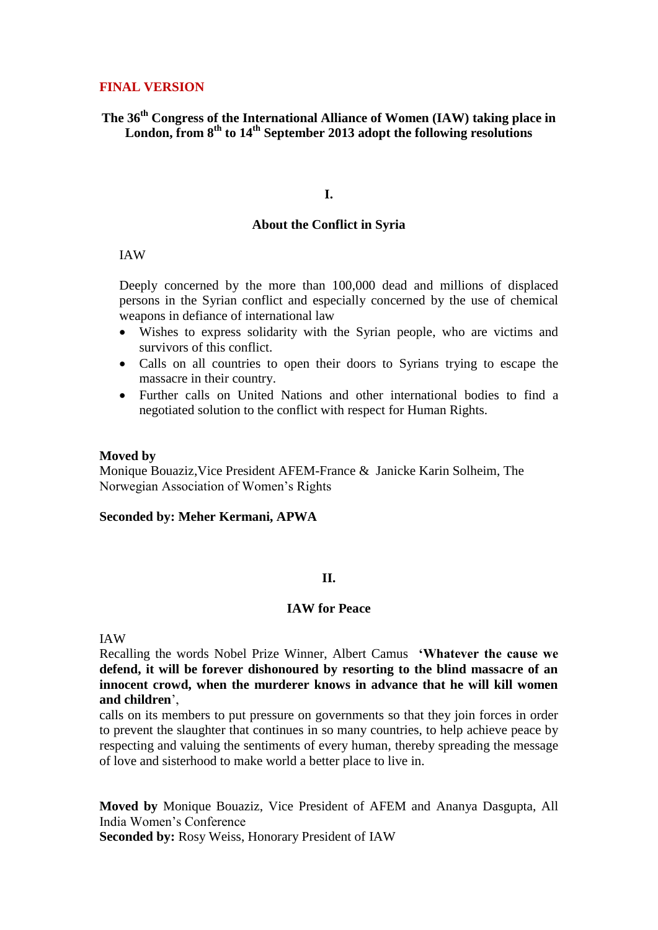## **FINAL VERSION**

# **The 36th Congress of the International Alliance of Women (IAW) taking place in London, from 8th to 14th September 2013 adopt the following resolutions**

## **I.**

## **About the Conflict in Syria**

## IAW

Deeply concerned by the more than 100,000 dead and millions of displaced persons in the Syrian conflict and especially concerned by the use of chemical weapons in defiance of international law

- Wishes to express solidarity with the Syrian people, who are victims and survivors of this conflict.
- Calls on all countries to open their doors to Syrians trying to escape the massacre in their country.
- Further calls on United Nations and other international bodies to find a negotiated solution to the conflict with respect for Human Rights.

### **Moved by**

Monique Bouaziz,Vice President AFEM-France & Janicke Karin Solheim, The Norwegian Association of Women's Rights

## **Seconded by: Meher Kermani, APWA**

## **II.**

## **IAW for Peace**

## IAW

Recalling the words Nobel Prize Winner, Albert Camus **'Whatever the cause we defend, it will be forever dishonoured by resorting to the blind massacre of an innocent crowd, when the murderer knows in advance that he will kill women and children**',

calls on its members to put pressure on governments so that they join forces in order to prevent the slaughter that continues in so many countries, to help achieve peace by respecting and valuing the sentiments of every human, thereby spreading the message of love and sisterhood to make world a better place to live in.

**Moved by** Monique Bouaziz, Vice President of AFEM and Ananya Dasgupta, All India Women's Conference **Seconded by:** Rosy Weiss, Honorary President of IAW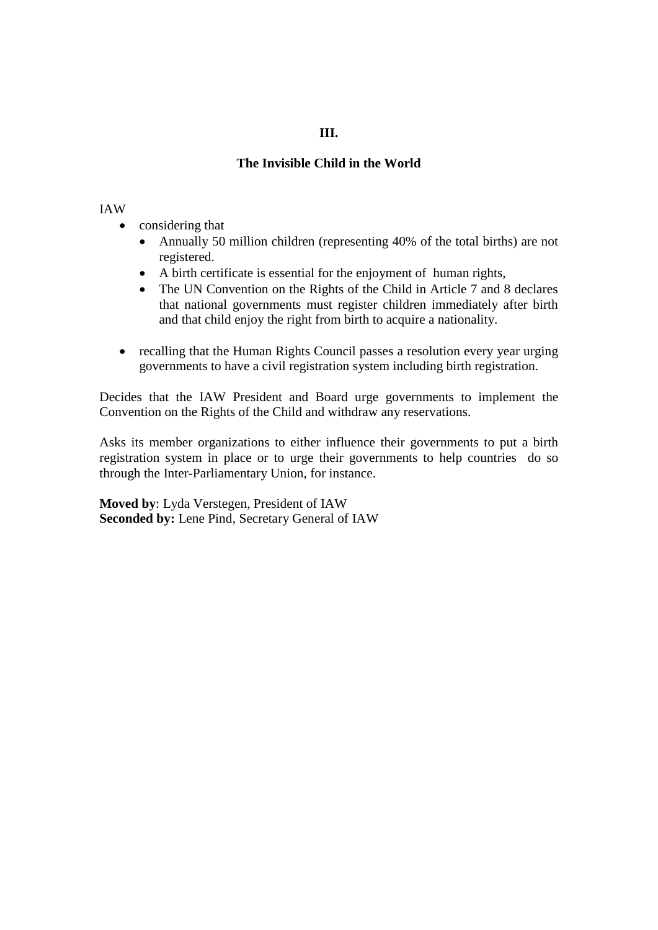# **III.**

# **The Invisible Child in the World**

### IAW

- considering that
	- Annually 50 million children (representing 40% of the total births) are not registered.
	- A birth certificate is essential for the enjoyment of human rights,
	- The UN Convention on the Rights of the Child in Article 7 and 8 declares that national governments must register children immediately after birth and that child enjoy the right from birth to acquire a nationality.
- recalling that the Human Rights Council passes a resolution every year urging governments to have a civil registration system including birth registration.

Decides that the IAW President and Board urge governments to implement the Convention on the Rights of the Child and withdraw any reservations.

Asks its member organizations to either influence their governments to put a birth registration system in place or to urge their governments to help countries do so through the Inter-Parliamentary Union, for instance.

**Moved by**: Lyda Verstegen, President of IAW **Seconded by:** Lene Pind, Secretary General of IAW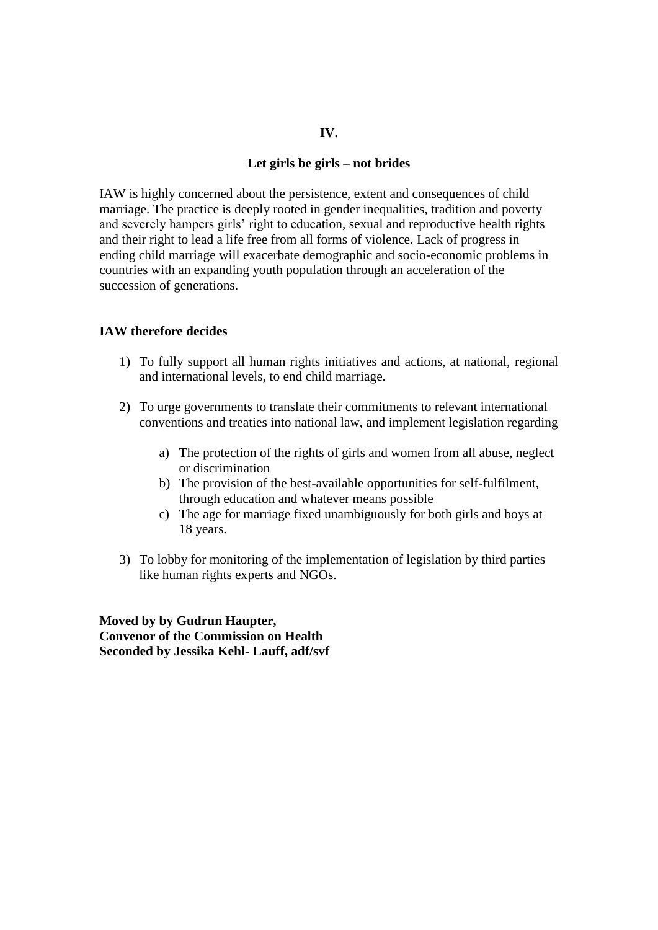## **IV.**

### **Let girls be girls – not brides**

IAW is highly concerned about the persistence, extent and consequences of child marriage. The practice is deeply rooted in gender inequalities, tradition and poverty and severely hampers girls' right to education, sexual and reproductive health rights and their right to lead a life free from all forms of violence. Lack of progress in ending child marriage will exacerbate demographic and socio-economic problems in countries with an expanding youth population through an acceleration of the succession of generations.

### **IAW therefore decides**

- 1) To fully support all human rights initiatives and actions, at national, regional and international levels, to end child marriage.
- 2) To urge governments to translate their commitments to relevant international conventions and treaties into national law, and implement legislation regarding
	- a) The protection of the rights of girls and women from all abuse, neglect or discrimination
	- b) The provision of the best-available opportunities for self-fulfilment, through education and whatever means possible
	- c) The age for marriage fixed unambiguously for both girls and boys at 18 years.
- 3) To lobby for monitoring of the implementation of legislation by third parties like human rights experts and NGOs.

**Moved by by Gudrun Haupter, Convenor of the Commission on Health Seconded by Jessika Kehl- Lauff, adf/svf**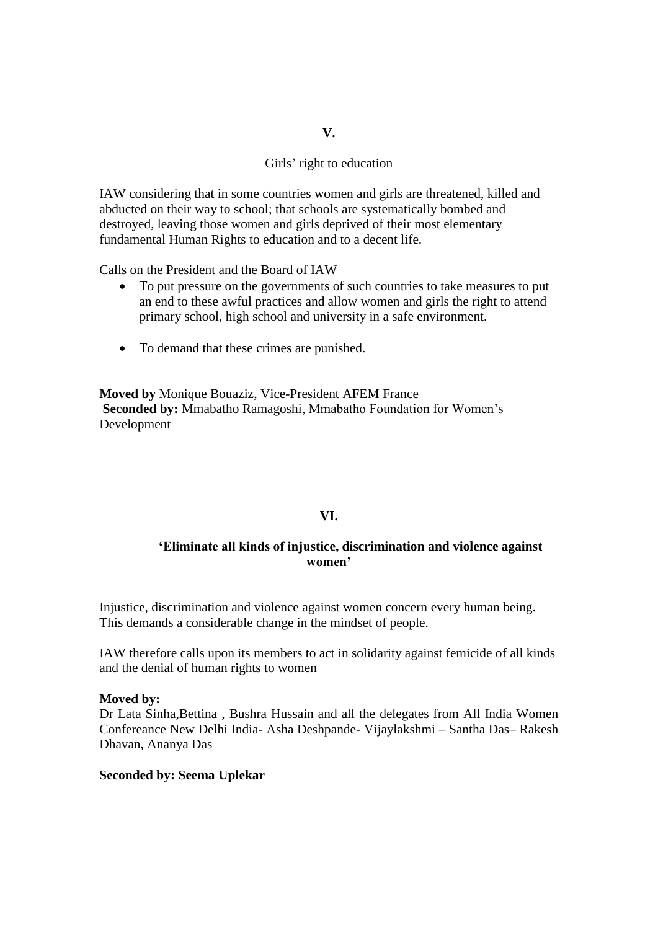# Girls' right to education

IAW considering that in some countries women and girls are threatened, killed and abducted on their way to school; that schools are systematically bombed and destroyed, leaving those women and girls deprived of their most elementary fundamental Human Rights to education and to a decent life.

Calls on the President and the Board of IAW

- To put pressure on the governments of such countries to take measures to put an end to these awful practices and allow women and girls the right to attend primary school, high school and university in a safe environment.
- To demand that these crimes are punished.

**Moved by** Monique Bouaziz, Vice-President AFEM France **Seconded by:** Mmabatho Ramagoshi, Mmabatho Foundation for Women's Development

#### **VI.**

## **'Eliminate all kinds of injustice, discrimination and violence against women'**

Injustice, discrimination and violence against women concern every human being. This demands a considerable change in the mindset of people.

IAW therefore calls upon its members to act in solidarity against femicide of all kinds and the denial of human rights to women

#### **Moved by:**

Dr Lata Sinha,Bettina , Bushra Hussain and all the delegates from All India Women Confereance New Delhi India- Asha Deshpande- Vijaylakshmi – Santha Das– Rakesh Dhavan, Ananya Das

#### **Seconded by: Seema Uplekar**

#### **V.**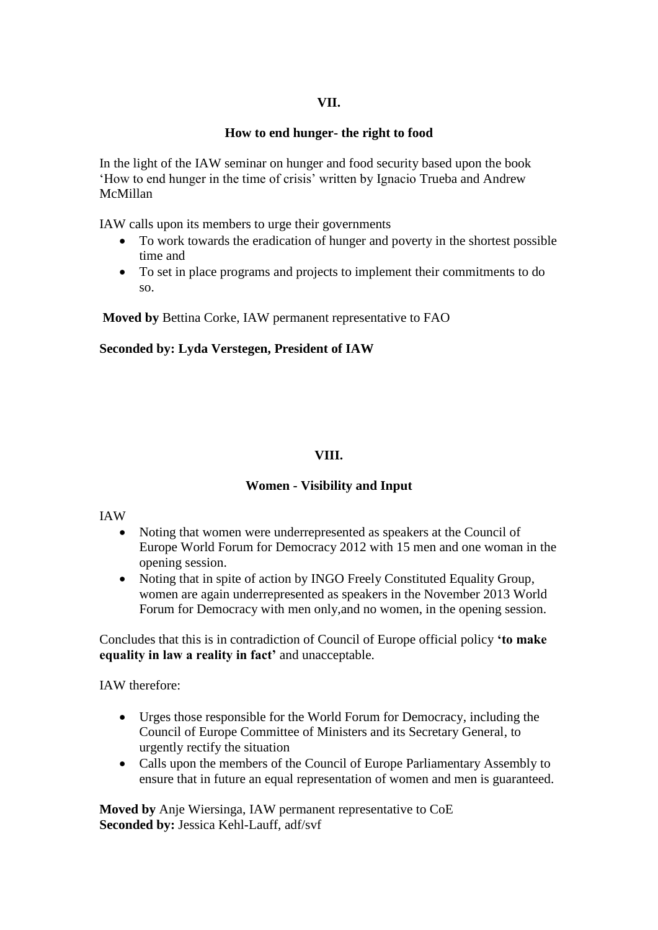## **VII.**

## **How to end hunger- the right to food**

In the light of the IAW seminar on hunger and food security based upon the book 'How to end hunger in the time of crisis' written by Ignacio Trueba and Andrew McMillan

IAW calls upon its members to urge their governments

- To work towards the eradication of hunger and poverty in the shortest possible time and
- To set in place programs and projects to implement their commitments to do so.

**Moved by** Bettina Corke, IAW permanent representative to FAO

## **Seconded by: Lyda Verstegen, President of IAW**

# **VIII.**

# **Women - Visibility and Input**

## IAW

- Noting that women were underrepresented as speakers at the Council of Europe World Forum for Democracy 2012 with 15 men and one woman in the opening session.
- Noting that in spite of action by INGO Freely Constituted Equality Group, women are again underrepresented as speakers in the November 2013 World Forum for Democracy with men only,and no women, in the opening session.

Concludes that this is in contradiction of Council of Europe official policy **'to make equality in law a reality in fact'** and unacceptable.

IAW therefore:

- Urges those responsible for the World Forum for Democracy, including the Council of Europe Committee of Ministers and its Secretary General, to urgently rectify the situation
- Calls upon the members of the Council of Europe Parliamentary Assembly to ensure that in future an equal representation of women and men is guaranteed.

**Moved by** Anje Wiersinga, IAW permanent representative to CoE **Seconded by:** Jessica Kehl-Lauff, adf/svf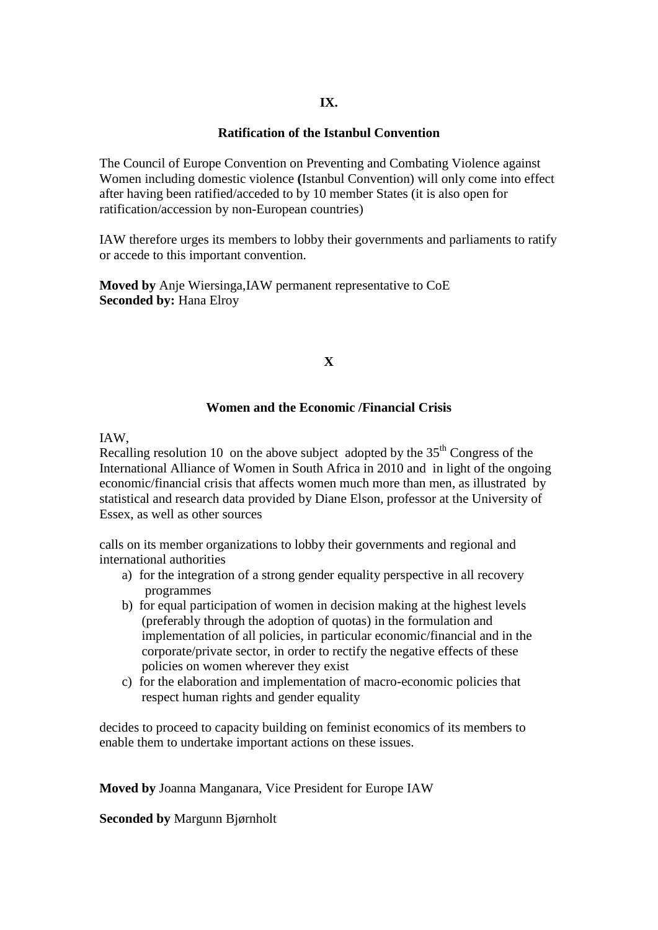## **IX.**

### **Ratification of the Istanbul Convention**

The Council of Europe Convention on Preventing and Combating Violence against Women including domestic violence **(**Istanbul Convention) will only come into effect after having been ratified/acceded to by 10 member States (it is also open for ratification/accession by non-European countries)

IAW therefore urges its members to lobby their governments and parliaments to ratify or accede to this important convention.

**Moved by** Anje Wiersinga,IAW permanent representative to CoE **Seconded by:** Hana Elroy

## **X**

### **Women and the Economic /Financial Crisis**

IAW,

Recalling resolution 10 on the above subject adopted by the  $35<sup>th</sup>$  Congress of the International Alliance of Women in South Africa in 2010 and in light of the ongoing economic/financial crisis that affects women much more than men, as illustrated by statistical and research data provided by Diane Elson, professor at the University of Essex, as well as other sources

calls on its member organizations to lobby their governments and regional and international authorities

- a) for the integration of a strong gender equality perspective in all recovery programmes
- b) for equal participation of women in decision making at the highest levels (preferably through the adoption of quotas) in the formulation and implementation of all policies, in particular economic/financial and in the corporate/private sector, in order to rectify the negative effects of these policies on women wherever they exist
- c) for the elaboration and implementation of macro-economic policies that respect human rights and gender equality

decides to proceed to capacity building on feminist economics of its members to enable them to undertake important actions on these issues.

**Moved by** Joanna Manganara, Vice President for Europe IAW

**Seconded by** Margunn Bjørnholt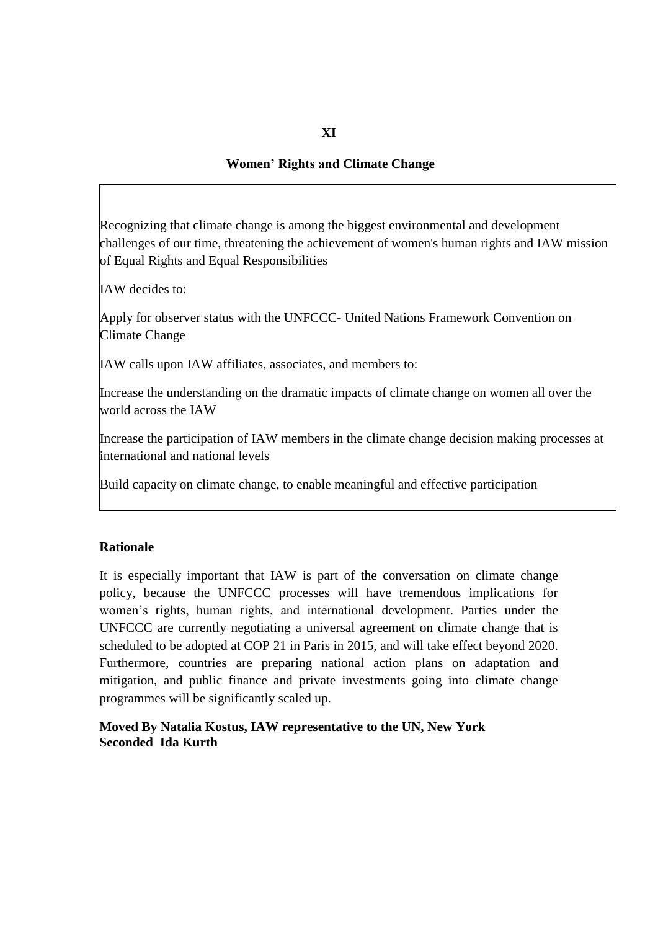# **Women' Rights and Climate Change**

Recognizing that climate change is among the biggest environmental and development challenges of our time, threatening the achievement of women's human rights and IAW mission of Equal Rights and Equal Responsibilities

IAW decides to:

Apply for observer status with the UNFCCC- United Nations Framework Convention on Climate Change

IAW calls upon IAW affiliates, associates, and members to:

Increase the understanding on the dramatic impacts of climate change on women all over the world across the IAW

Increase the participation of IAW members in the climate change decision making processes at international and national levels

Build capacity on climate change, to enable meaningful and effective participation

## **Rationale**

It is especially important that IAW is part of the conversation on climate change policy, because the UNFCCC processes will have tremendous implications for women's rights, human rights, and international development. Parties under the UNFCCC are currently negotiating a universal agreement on climate change that is scheduled to be adopted at COP 21 in Paris in 2015, and will take effect beyond 2020. Furthermore, countries are preparing national action plans on adaptation and mitigation, and public finance and private investments going into climate change programmes will be significantly scaled up.

## **Moved By Natalia Kostus, IAW representative to the UN, New York Seconded Ida Kurth**